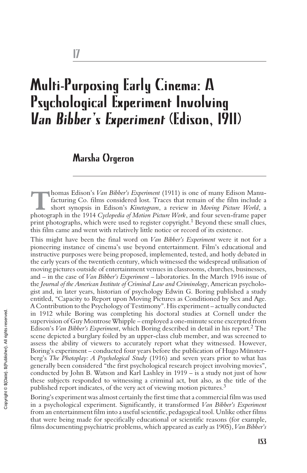# Multi-Purposing Early Cinema: A Psychological Experiment Involving *Van Bibber's Experiment (Edison, 1911)*

## Marsha Orgeron

**Thomas Edison's** *Van Bibber's Experiment* (1911) is one of many Edison Manufacturing Co. films considered lost. Traces that remain of the film include a short synopsis in Edison's *Kinetogram*, a review in *Moving Picture World*, a photograph in the 1914 *Cyclopedia of Motion Picture Work*, and four seven-frame paper print photographs, which were used to register copyright.<sup>1</sup> Beyond these small clues, this film came and went with relatively little notice or record of its existence.

This might have been the final word on *Van Bibber's Experiment* were it not for a pioneering instance of cinema's use beyond entertainment. Film's educational and instructive purposes were being proposed, implemented, tested, and hotly debated in the early years of the twentieth century, which witnessed the widespread utilisation of moving pictures outside of entertainment venues in classrooms, churches, businesses, and – in the case of *Van Bibber's Experiment* – laboratories. In the March 1916 issue of the *Journal of the American Institute of Criminal Law and Criminology*, American psychologist and, in later years, historian of psychology Edwin G. Boring published a study entitled, "Capacity to Report upon Moving Pictures as Conditioned by Sex and Age. A Contribution to the Psychology of Testimony". His experiment – actually conducted in 1912 while Boring was completing his doctoral studies at Cornell under the supervision of Guy Montrose Whipple – employed a one-minute scene excerpted from Edison's *Van Bibber's Experiment*, which Boring described in detail in his report.<sup>2</sup> The scene depicted a burglary foiled by an upper-class club member, and was screened to assess the ability of viewers to accurately report what they witnessed. However, Boring's experiment – conducted four years before the publication of Hugo Münsterberg's *The Photoplay: A Psychological Study* (1916) and seven years prior to what has generally been considered "the first psychological research project involving movies", conducted by John B. Watson and Karl Lashley in 1919 – is a study not just of how these subjects responded to witnessing a criminal act, but also, as the title of the published report indicates, of the very act of viewing motion pictures.<sup>3</sup>

Boring's experiment was almost certainly the first time that a commercial film was used in a psychological experiment. Significantly, it transformed *Van Bibber's Experiment* from an entertainment film into a useful scientific, pedagogical tool. Unlike other films that were being made for specifically educational or scientific reasons (for example, films documenting psychiatric problems, which appeared as early as 1905), *Van Bibber's*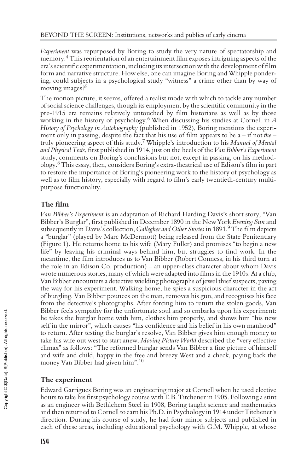*Experiment* was repurposed by Boring to study the very nature of spectatorship and memory.<sup>4</sup> This reorientation of an entertainment film exposes intriguing aspects of the era's scientific experimentation, including its intersection with the development of film form and narrative structure. How else, one can imagine Boring and Whipple pondering, could subjects in a psychological study "witness" a crime other than by way of moving images?<sup>5</sup>

The motion picture, it seems, offered a realist mode with which to tackle any number of social science challenges, though its employment by the scientific community in the pre-1915 era remains relatively untouched by film historians as well as by those working in the history of psychology.<sup>6</sup> When discussing his studies at Cornell in *A History of Psychology in Autobiography* (published in 1952), Boring mentions the experiment only in passing, despite the fact that his use of film appears to be a – if not *the* – truly pioneering aspect of this study.<sup>7</sup> Whipple's introduction to his *Manual of Mental and Physical Tests*, first published in 1914, just on the heels of the *Van Bibber's Experiment* study, comments on Boring's conclusions but not, except in passing, on his methodology.<sup>8</sup> This essay, then, considers Boring's extra-theatrical use of Edison's film in part to restore the importance of Boring's pioneering work to the history of psychology as well as to film history, especially with regard to film's early twentieth-century multipurpose functionality.

### **The film**

*Van Bibber's Experiment* is an adaptation of Richard Harding Davis's short story, "Van Bibber's Burglar", first published in December 1890 in the New York *Evening Sun* and subsequently in Davis's collection, *Gallegher and Other Stories* in 1891.<sup>9</sup> The film depicts a "burglar" (played by Marc McDermott) being released from the State Penitentiary (Figure 1). He returns home to his wife (Mary Fuller) and promises "to begin a new life" by leaving his criminal ways behind him, but struggles to find work. In the meantime, the film introduces us to Van Bibber (Robert Conness, in his third turn at the role in an Edison Co. production) – an upper-class character about whom Davis wrote numerous stories, many of which were adapted into films in the 1910s. At a club, Van Bibber encounters a detective wielding photographs of jewel thief suspects, paving the way for his experiment. Walking home, he spies a suspicious character in the act of burgling. Van Bibber pounces on the man, removes his gun, and recognises his face from the detective's photographs. After forcing him to return the stolen goods, Van Bibber feels sympathy for the unfortunate soul and so embarks upon his experiment: he takes the burglar home with him, clothes him properly, and shows him "his new self in the mirror", which causes "his confidence and his belief in his own manhood" to return. After testing the burglar's resolve, Van Bibber gives him enough money to take his wife out west to start anew. *Moving Picture World* described the "very effective climax" as follows: "The reformed burglar sends Van Bibber a fine picture of himself and wife and child, happy in the free and breezy West and a check, paying back the money Van Bibber had given him".<sup>10</sup>

#### **The experiment**

Edward Garrigues Boring was an engineering major at Cornell when he used elective hours to take his first psychology course with E.B. Titchener in 1905. Following a stint as an engineer with Bethlehem Steel in 1908, Boring taught science and mathematics and then returned to Cornell to earn his Ph.D. in Psychology in 1914 under Titchener's direction. During his course of study, he had four minor subjects and published in each of these areas, including educational psychology with G.M. Whipple, at whose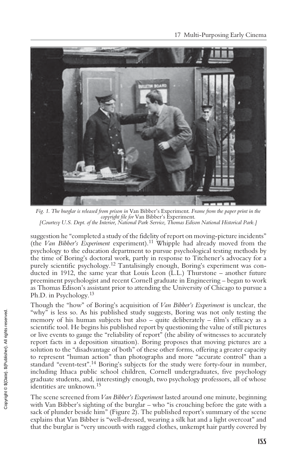

*Fig. 1. The burglar is released from prison in* Van Bibber's Experiment*. Frame from the paper print in the copyright file for* Van Bibber's Experiment*. [Courtesy U.S. Dept. of the Interior, National Park Service, Thomas Edison National Historical Park.]*

suggestion he "completed a study of the fidelity of report on moving-picture incidents" (the *Van Bibber's Experiment* experiment).<sup>11</sup> Whipple had already moved from the psychology to the education department to pursue psychological testing methods by the time of Boring's doctoral work, partly in response to Titchener's advocacy for a purely scientific psychology.<sup>12</sup> Tantalisingly enough, Boring's experiment was conducted in 1912, the same year that Louis Leon (L.L.) Thurstone – another future preeminent psychologist and recent Cornell graduate in Engineering – began to work as Thomas Edison's assistant prior to attending the University of Chicago to pursue a Ph.D. in Psychology.<sup>13</sup>

Though the "how" of Boring's acquisition of *Van Bibber's Experiment* is unclear, the "why" is less so. As his published study suggests, Boring was not only testing the memory of his human subjects but also – quite deliberately – film's efficacy as a scientific tool. He begins his published report by questioning the value of still pictures or live events to gauge the "reliability of report" (the ability of witnesses to accurately report facts in a deposition situation). Boring proposes that moving pictures are a solution to the "disadvantage of both" of these other forms, offering a greater capacity to represent "human action" than photographs and more "accurate control" than a standard "event-test".<sup>14</sup> Boring's subjects for the study were forty-four in number, including Ithaca public school children, Cornell undergraduates, five psychology graduate students, and, interestingly enough, two psychology professors, all of whose identities are unknown.<sup>15</sup>

The scene screened from *Van Bibber's Experiment* lasted around one minute, beginning with Van Bibber's sighting of the burglar – who "is crouching before the gate with a sack of plunder beside him" (Figure 2). The published report's summary of the scene explains that Van Bibber is "well-dressed, wearing a silk hat and a light overcoat" and that the burglar is "very uncouth with ragged clothes, unkempt hair partly covered by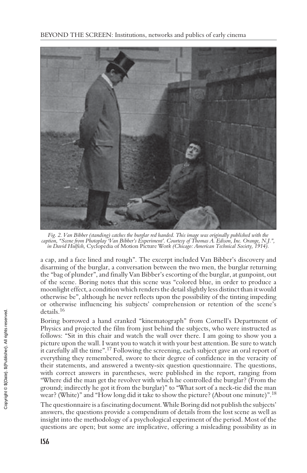

*Fig. 2. Van Bibber (standing) catches the burglar red handed. This image was originally published with the caption, "Scene from Photoplay 'Van Bibber's Experiment'. Courtesy of Thomas A. Edison, Inc. Orange, N.J.", in David Hulfish,* Cyclopedia of Motion Picture Wor*k (Chicago: American Technical Society, 1914).*

a cap, and a face lined and rough". The excerpt included Van Bibber's discovery and disarming of the burglar, a conversation between the two men, the burglar returning the "bag of plunder", and finally Van Bibber's escorting of the burglar, at gunpoint, out of the scene. Boring notes that this scene was "colored blue, in order to produce a moonlight effect, a condition which renders the detail slightly less distinct than it would otherwise be", although he never reflects upon the possibility of the tinting impeding or otherwise influencing his subjects' comprehension or retention of the scene's details.<sup>16</sup>

Boring borrowed a hand cranked "kinematograph" from Cornell's Department of Physics and projected the film from just behind the subjects, who were instructed as follows: "Sit in this chair and watch the wall over there. I am going to show you a picture upon the wall. I want you to watch it with your best attention. Be sure to watch it carefully all the time".<sup>17</sup> Following the screening, each subject gave an oral report of everything they remembered, swore to their degree of confidence in the veracity of their statements, and answered a twenty-six question questionnaire. The questions, with correct answers in parentheses, were published in the report, ranging from "Where did the man get the revolver with which he controlled the burglar? (From the ground; indirectly he got it from the burglar)" to "What sort of a neck-tie did the man wear? (White)" and "How long did it take to show the picture? (About one minute)".<sup>18</sup>

The questionnaire is a fascinating document. While Boring did not publish the subjects' answers, the questions provide a compendium of details from the lost scene as well as insight into the methodology of a psychological experiment of the period. Most of the questions are open; but some are implicative, offering a misleading possibility as in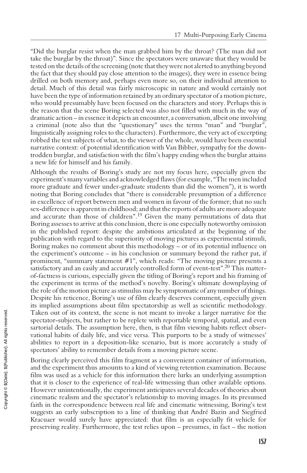"Did the burglar resist when the man grabbed him by the throat? (The man did not take the burglar by the throat)". Since the spectators were unaware that they would be tested on the details of the screening (note that they were not alerted to anything beyond the fact that they should pay close attention to the images), they were in essence being drilled on both memory and, perhaps even more so, on their individual attention to detail. Much of this detail was fairly microscopic in nature and would certainly not have been the type of information retained by an ordinary spectator of a motion picture, who would presumably have been focused on the characters and story. Perhaps this is the reason that the scene Boring selected was also not filled with much in the way of dramatic action – in essence it depicts an encounter, a conversation, albeit one involving a criminal (note also that the "questionary" uses the terms "man" and "burglar", linguistically assigning roles to the characters). Furthermore, the very act of excerpting robbed the test subjects of what, to the viewer of the whole, would have been essential narrative context: of potential identification with Van Bibber, sympathy for the downtrodden burglar, and satisfaction with the film's happy ending when the burglar attains a new life for himself and his family.

Although the results of Boring's study are not my focus here, especially given the experiment's many variables and acknowledged flaws (for example, "The men included more graduate and fewer under-graduate students than did the women"), it is worth noting that Boring concludes that "there is considerable presumption of a difference in excellence of report between men and women in favour of the former; that no such sex-difference is apparent in childhood; and that the reports of adults are more adequate and accurate than those of children".<sup>19</sup> Given the many permutations of data that Boring assesses to arrive at this conclusion, there is one especially noteworthy omission in the published report: despite the ambitions articulated at the beginning of the publication with regard to the superiority of moving pictures as experimental stimuli, Boring makes no comment about this methodology – or of its potential influence on the experiment's outcome – in his conclusion or summary beyond the rather pat, if prominent, "summary statement #1", which reads: "The moving picture presents a satisfactory and an easily and accurately controlled form of event-test".<sup>20</sup> This matterof-factness is curious, especially given the titling of Boring's report and his framing of the experiment in terms of the method's novelty. Boring's ultimate downplaying of the role of the motion picture as stimulus may be symptomatic of any number of things. Despite his reticence, Boring's use of film clearly deserves comment, especially given its implied assumptions about film spectatorship as well as scientific methodology. Taken out of its context, the scene is not meant to invoke a larger narrative for the spectator-subjects, but rather to be replete with reportable temporal, spatial, and even sartorial details. The assumption here, then, is that film viewing habits reflect observational habits of daily life, and vice versa. This purports to be a study of witnesses' abilities to report in a deposition-like scenario, but is more accurately a study of spectators' ability to remember details from a moving picture scene.

Boring clearly perceived this film fragment as a convenient container of information, and the experiment thus amounts to a kind of viewing retention examination. Because film was used as a vehicle for this information there lurks an underlying assumption that it is closer to the experience of real-life witnessing than other available options. However unintentionally, the experiment anticipates several decades of theories about cinematic realism and the spectator's relationship to moving images. In its presumed faith in the correspondence between real life and cinematic witnessing, Boring's test suggests an early subscription to a line of thinking that André Bazin and Siegfried Kracuaer would surely have appreciated: that film is an especially fit vehicle for preserving reality. Furthermore, the test relies upon – presumes, in fact – the notion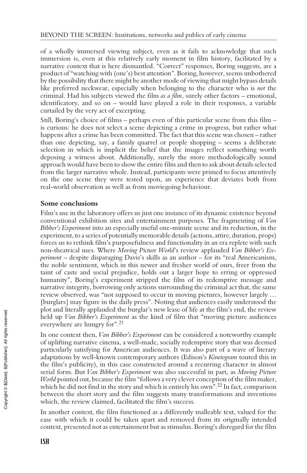of a wholly immersed viewing subject, even as it fails to acknowledge that such immersion is, even at this relatively early moment in film history, facilitated by a narrative context that is here dismantled. "Correct" responses, Boring suggests, are a product of "watching with (one's) best attention". Boring, however, seems unbothered by the possibility that there might be another mode of viewing that might bypass details like preferred neckwear, especially when belonging to the character who is *not* the criminal. Had his subjects viewed the film *as a film*, surely other factors – emotional, identificatory, and so on – would have played a role in their responses, a variable curtailed by the very act of excerpting.

Still, Boring's choice of films – perhaps even of this particular scene from this film – is curious: he does not select a scene depicting a crime in progress, but rather what happens after a crime has been committed. The fact that this scene was chosen – rather than one depicting, say, a family quarrel or people shopping – seems a deliberate selection in which is implicit the belief that the images reflect something worth deposing a witness about. Additionally, surely the more methodologically sound approach would have been to show the entire film and then to ask about details selected from the larger narrative whole. Instead, participants were primed to focus attentively on the one scene they were tested upon, an experience that deviates both from real-world observation as well as from moviegoing behaviour.

#### **Some conclusions**

Film's use in the laboratory offers us just one instance of its dynamic existence beyond conventional exhibition sites and entertainment purposes. The fragmenting of *Van Bibber's Experiment* into an especially useful one-minute scene and its reduction, in the experiment, to a series of potentially memorable details (actions, attire, duration, props) forces us to rethink film's purposefulness and functionality in an era replete with such non-theatrical uses. Where *Moving Picture World*'s review applauded *Van Bibber's Experiment* – despite disparaging Davis's skills as an author – for its "real Americanism, the noble sentiment, which in this newer and fresher world of ours, freer from the taint of caste and social prejudice, holds out a larger hope to erring or oppressed humanity", Boring's experiment stripped the film of its redemptive message and narrative integrity, borrowing only actions surrounding the criminal act that, the same review observed, was "not supposed to occur in moving pictures, however largely … [burglars] may figure in the daily press". Noting that audiences easily understood the plot and literally applauded the burglar's new lease of life at the film's end, the review held up *Van Bibber's Experiment* as the kind of film that "moving picture audiences everywhere are hungry for".<sup>21</sup>

In one context then, *Van Bibber's Experiment* can be considered a noteworthy example of uplifting narrative cinema, a well-made, socially redemptive story that was deemed particularly satisfying for American audiences. It was also part of a wave of literary adaptations by well-known contemporary authors (Edison's *Kinetogram* touted this in the film's publicity), in this case constructed around a recurring character in almost serial form. But *Van Bibber's Experiment* was also successful in part, as *Moving Picture World* pointed out, because the film "follows a very clever conception of the film maker, which he did not find in the story and which is entirely his own".<sup>22</sup> In fact, comparison between the short story and the film suggests many transformations and inventions which, the review claimed, facilitated the film's success.

In another context, the film functioned as a differently malleable text, valued for the ease with which it could be taken apart and removed from its originally intended context, presented not as entertainment but as stimulus. Boring's disregard for the film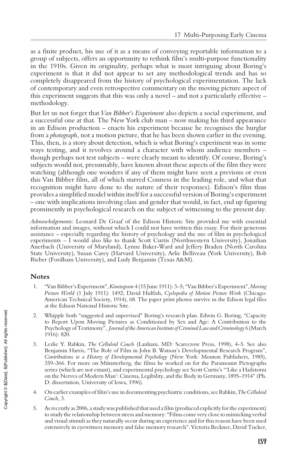as a finite product, his use of it as a means of conveying reportable information to a group of subjects, offers an opportunity to rethink film's multi-purpose functionality in the 1910s. Given its originality, perhaps what is most intriguing about Boring's experiment is that it did not appear to set any methodological trends and has so completely disappeared from the history of psychological experimentation. The lack of contemporary and even retrospective commentary on the moving picture aspect of this experiment suggests that this was only a novel – and not a particularly effective – methodology.

But let us not forget that *Van Bibber's Experiment* also depicts a social experiment, and a successful one at that. The New York club man – now making his third appearance in an Edison production – enacts his experiment because he recognises the burglar from a *photograph*, not a motion picture, that he has been shown earlier in the evening. This, then, is a story about detection, which is what Boring's experiment was in some ways testing, and it revolves around a character with whom audience members – though perhaps not test subjects – were clearly meant to identify. Of course, Boring's subjects would not, presumably, have known about these aspects of the film they were watching (although one wonders if any of them might have seen a previous or even this Van Bibber film, all of which starred Conness in the leading role, and what that recognition might have done to the nature of their responses). Edison's film thus provides a simplified model within itself for a successful version of Boring's experiment – one with implications involving class and gender that would, in fact, end up figuring prominently in psychological research on the subject of witnessing to the present day.

*Acknowledgements:* Leonard De Graaf of the Edison Historic Site provided me with essential information and images, without which I could not have written this essay. For their generous assistance – especially regarding the history of psychology and the use of film in psychological experiments – I would also like to thank Scott Curtis (Northwestern University), Jonathan Auerbach (University of Maryland), Lynne Baker-Ward and Jeffery Braden (North Carolina State University), Susan Carey (Harvard University), Arlie Belliveau (York University), Bob Rieber (Fordham University), and Ludy Benjamin (Texas A&M).

#### **Notes**

- 1. "Van Bibber's Experiment",*Kinetogram* 4 (15 June 1911): 3–5; "Van Bibber's Experiment", *Moving Picture World* (1 July 1911): 1492; David Hulfish, *Cyclopedia of Motion Picture Work* (Chicago: American Technical Society, 1914), 68. The paper print photos survive in the Edison legal files at the Edison National Historic Site.
- 2. Whipple both "suggested and supervised" Boring's research plan. Edwin G. Boring, "Capacity to Report Upon Moving Pictures as Conditioned by Sex and Age: A Contribution to the Psychology of Testimony", *Journal of the American Institute of Criminal Law and Criminology* 6 (March 1916): 820.
- 3. Leslie Y. Rabkin, *The Celluloid Couch* (Lanham, MD: Scarecrow Press, 1998), 4–5. See also Benjamin Harris, "The Role of Film in John B. Watson's Developmental Research Program", *Contributions to a History of Developmental Psychology* (New York: Mouton Publishers, 1985), 359–366. For more on Münsterberg, the films he worked on for the Paramount Pictographs series (which are not extant), and experimental psychology see Scott Curtis's "'Like a Hailstorm on the Nerves of Modern Man': Cinema, Legibility, and the Body in Germany, 1895–1914" (Ph. D. dissertation, University of Iowa, 1996).
- 4. On earlier examples of film's use in documenting psychiatric conditions, see Rabkin,*The Celluloid Couch*, 3.
- 5. As recently as 2006, a study was published that used a film (produced explicitly for the experiment) to study the relationship between stress and memory: "Films come very close to mimicking verbal and visual stimuli as they naturally occur during an experience and for this reason have been used extensively in eyewitness memory and false memory research". Victoria Beckner, David Tucker,